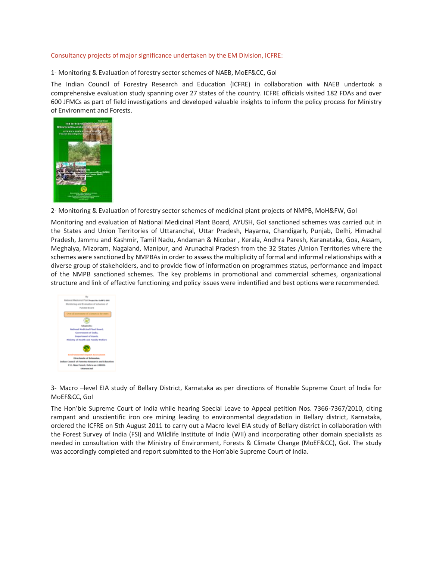## Consultancy projects of major significance undertaken by the EM Division, ICFRE:

1- Monitoring & Evaluation of forestry sector schemes of NAEB, MoEF&CC, GoI

The Indian Council of Forestry Research and Education (ICFRE) in collaboration with NAEB undertook a comprehensive evaluation study spanning over 27 states of the country. ICFRE officials visited 182 FDAs and over 600 JFMCs as part of field investigations and developed valuable insights to inform the policy process for Ministry of Environment and Forests.



2- Monitoring & Evaluation of forestry sector schemes of medicinal plant projects of NMPB, MoH&FW, GoI

Monitoring and evaluation of National Medicinal Plant Board, AYUSH, GoI sanctioned schemes was carried out in the States and Union Territories of Uttaranchal, Uttar Pradesh, Hayarna, Chandigarh, Punjab, Delhi, Himachal Pradesh, Jammu and Kashmir, Tamil Nadu, Andaman & Nicobar , Kerala, Andhra Paresh, Karanataka, Goa, Assam, Meghalya, Mizoram, Nagaland, Manipur, and Arunachal Pradesh from the 32 States /Union Territories where the schemes were sanctioned by NMPBAs in order to assess the multiplicity of formal and informal relationships with a diverse group of stakeholders, and to provide flow of information on programmes status, performance and impact of the NMPB sanctioned schemes. The key problems in promotional and commercial schemes, organizational structure and link of effective functioning and policy issues were indentified and best options were recommended.



3- Macro –level EIA study of Bellary District, Karnataka as per directions of Honable Supreme Court of India for MoEF&CC, GoI

The Hon'ble Supreme Court of India while hearing Special Leave to Appeal petition Nos. 7366-7367/2010, citing rampant and unscientific iron ore mining leading to environmental degradation in Bellary district, Karnataka, ordered the ICFRE on 5th August 2011 to carry out a Macro level EIA study of Bellary district in collaboration with the Forest Survey of India (FSI) and Wildlife Institute of India (WII) and incorporating other domain specialists as needed in consultation with the Ministry of Environment, Forests & Climate Change (MoEF&CC), GoI. The study was accordingly completed and report submitted to the Hon'able Supreme Court of India.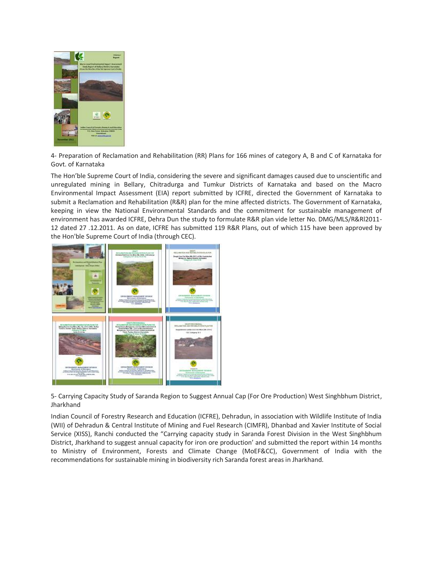

4- Preparation of Reclamation and Rehabilitation (RR) Plans for 166 mines of category A, B and C of Karnataka for Govt. of Karnataka

The Hon'ble Supreme Court of India, considering the severe and significant damages caused due to unscientific and unregulated mining in Bellary, Chitradurga and Tumkur Districts of Karnataka and based on the Macro Environmental Impact Assessment (EIA) report submitted by ICFRE, directed the Government of Karnataka to submit a Reclamation and Rehabilitation (R&R) plan for the mine affected districts. The Government of Karnataka, keeping in view the National Environmental Standards and the commitment for sustainable management of environment has awarded ICFRE, Dehra Dun the study to formulate R&R plan vide letter No. DMG/MLS/R&Rl2011- 12 dated 27 .12.2011. As on date, ICFRE has submitted 119 R&R Plans, out of which 115 have been approved by the Hon'ble Supreme Court of India (through CEC).



5- Carrying Capacity Study of Saranda Region to Suggest Annual Cap (For Ore Production) West Singhbhum District, Jharkhand

Indian Council of Forestry Research and Education (ICFRE), Dehradun, in association with Wildlife Institute of India (WII) of Dehradun & Central Institute of Mining and Fuel Research (CIMFR), Dhanbad and Xavier Institute of Social Service (XISS), Ranchi conducted the "Carrying capacity study in Saranda Forest Division in the West Singhbhum District, Jharkhand to suggest annual capacity for iron ore production' and submitted the report within 14 months to Ministry of Environment, Forests and Climate Change (MoEF&CC), Government of India with the recommendations for sustainable mining in biodiversity rich Saranda forest areas in Jharkhand.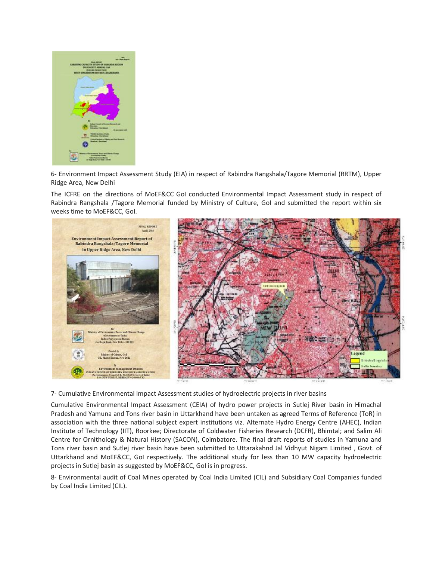

6- Environment Impact Assessment Study (EIA) in respect of Rabindra Rangshala/Tagore Memorial (RRTM), Upper Ridge Area, New Delhi

The ICFRE on the directions of MoEF&CC GoI conducted Environmental Impact Assessment study in respect of Rabindra Rangshala /Tagore Memorial funded by Ministry of Culture, GoI and submitted the report within six weeks time to MoEF&CC, GoI.



7- Cumulative Environmental Impact Assessment studies of hydroelectric projects in river basins

Cumulative Environmental Impact Assessment (CEIA) of hydro power projects in Sutlej River basin in Himachal Pradesh and Yamuna and Tons river basin in Uttarkhand have been untaken as agreed Terms of Reference (ToR) in association with the three national subject expert institutions viz. Alternate Hydro Energy Centre (AHEC), Indian Institute of Technology (IIT), Roorkee; Directorate of Coldwater Fisheries Research (DCFR), Bhimtal; and Salim Ali Centre for Ornithology & Natural History (SACON), Coimbatore. The final draft reports of studies in Yamuna and Tons river basin and Sutlej river basin have been submitted to Uttarakahnd Jal Vidhyut Nigam Limited , Govt. of Uttarkhand and MoEF&CC, GoI respectively. The additional study for less than 10 MW capacity hydroelectric projects in Sutlej basin as suggested by MoEF&CC, GoI is in progress.

8- Environmental audit of Coal Mines operated by Coal India Limited (CIL) and Subsidiary Coal Companies funded by Coal India Limited (CIL).